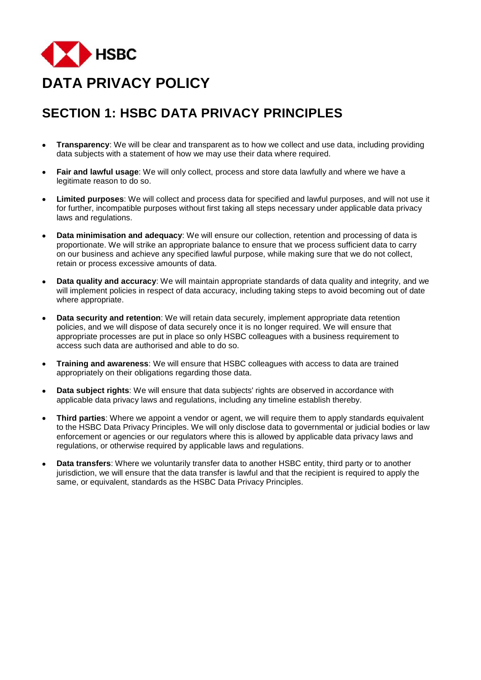

# **SECTION 1: HSBC DATA PRIVACY PRINCIPLES**

- • **Transparency**: We will be clear and transparent as to how we collect and use data, including providing data subjects with a statement of how we may use their data where required.
- • **Fair and lawful usage**: We will only collect, process and store data lawfully and where we have a legitimate reason to do so.
- • **Limited purposes**: We will collect and process data for specified and lawful purposes, and will not use it for further, incompatible purposes without first taking all steps necessary under applicable data privacy laws and regulations.
- • **Data minimisation and adequacy**: We will ensure our collection, retention and processing of data is proportionate. We will strike an appropriate balance to ensure that we process sufficient data to carry on our business and achieve any specified lawful purpose, while making sure that we do not collect, retain or process excessive amounts of data.
- • **Data quality and accuracy**: We will maintain appropriate standards of data quality and integrity, and we will implement policies in respect of data accuracy, including taking steps to avoid becoming out of date where appropriate.
- **Data security and retention**: We will retain data securely, implement appropriate data retention policies, and we will dispose of data securely once it is no longer required. We will ensure that appropriate processes are put in place so only HSBC colleagues with a business requirement to access such data are authorised and able to do so.
- • **Training and awareness**: We will ensure that HSBC colleagues with access to data are trained appropriately on their obligations regarding those data.
- • **Data subject rights**: We will ensure that data subjects' rights are observed in accordance with applicable data privacy laws and regulations, including any timeline establish thereby.
- • **Third parties**: Where we appoint a vendor or agent, we will require them to apply standards equivalent to the HSBC Data Privacy Principles. We will only disclose data to governmental or judicial bodies or law enforcement or agencies or our regulators where this is allowed by applicable data privacy laws and regulations, or otherwise required by applicable laws and regulations.
- • **Data transfers**: Where we voluntarily transfer data to another HSBC entity, third party or to another jurisdiction, we will ensure that the data transfer is lawful and that the recipient is required to apply the same, or equivalent, standards as the HSBC Data Privacy Principles.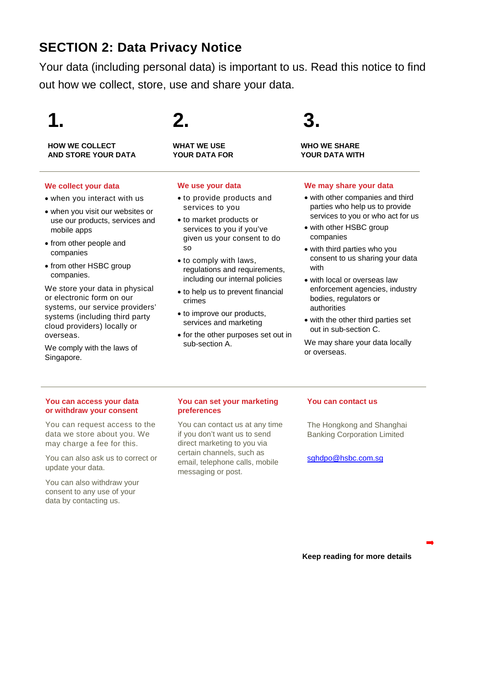# **SECTION 2: Data Privacy Notice**

Your data (including personal data) is important to us. Read this notice to find out how we collect, store, use and share your data.

**HOW WE COLLECT WHAT WE USE WHO WE SHARE AND STORE YOUR DATA YOUR DATA FOR** 

#### **We collect your data**

- when you interact with us
- when you visit our websites or use our products, services and mobile apps
- from other people and companies
- from other HSBC group companies.

We store your data in physical or electronic form on our systems, our service providers' systems (including third party cloud providers) locally or overseas.

We comply with the laws of Singapore.

# **1. 2. 3.**

#### **We use your data**

- to provide products and services to you
- to market products or services to you if you've given us your consent to do so
- to comply with laws, regulations and requirements, including our internal policies
- to help us to prevent financial crimes
- to improve our products, services and marketing
- for the other purposes set out in sub-section A.

## **We may share your data**

- with other companies and third parties who help us to provide services to you or who act for us
- with other HSBC group companies
- with third parties who you consent to us sharing your data with
- with local or overseas law enforcement agencies, industry bodies, regulators or authorities
- with the other third parties set out in sub-section C.

We may share your data locally or overseas.

## **You can access your data or withdraw your consent**

You can request access to the data we store about you. We may charge a fee for this.

You can also ask us to correct or update your data.

You can also withdraw your consent to any use of your data by contacting us.

## **You can set your marketing preferences**

You can contact us at any time if you don't want us to send direct marketing to you via certain channels, such as email, telephone calls, mobile messaging or post.

## **You can contact us**

The Hongkong and Shanghai Banking Corporation Limited

[sghdpo@hsbc.com.sg](mailto:sghdpo@hsbc.com.sg)

**Keep reading for more details**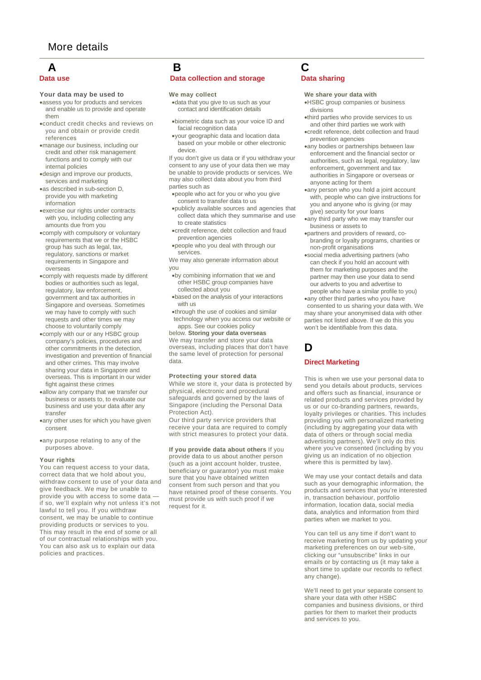# **A B C**

#### **Your data may be used to**

- assess you for products and services and enable us to provide and operate them
- conduct credit checks and reviews on you and obtain or provide credit references
- manage our business, including our credit and other risk management functions and to comply with our internal policies
- design and improve our products, services and marketing
- as described in sub-section D, provide you with marketing information
- exercise our rights under contracts with you, including collecting any amounts due from you
- comply with compulsory or voluntary requirements that we or the HSBC group has such as legal, tax, regulatory, sanctions or market requirements in Singapore and overseas
- comply with requests made by different bodies or authorities such as legal, regulatory, law enforcement, government and tax authorities in Singapore and overseas. Sometimes we may have to comply with such requests and other times we may choose to voluntarily comply
- comply with our or any HSBC group company's policies, procedures and other commitments in the detection, investigation and prevention of financial and other crimes. This may involve sharing your data in Singapore and overseas. This is important in our wider fight against these crimes
- allow any company that we transfer our business or assets to, to evaluate our business and use your data after any transfer
- any other uses for which you have given consent
- any purpose relating to any of the purposes above.

#### **Your rights**

You can request access to your data, correct data that we hold about you, withdraw consent to use of your data and give feedback. We may be unable to provide you with access to some data if so, we'll explain why not unless it's not lawful to tell you. If you withdraw consent, we may be unable to continue providing products or services to you. This may result in the end of some or all of our contractual relationships with you. You can also ask us to explain our data policies and practices.

#### **Data use Data collection and storage Data sharing Data sharing Data sharing Data sharing Data sharing Data sharing Data sharing Data sharing Data sharing Data sharing Data sharing Data sharing Data sharing Data sharing Da**

#### **We may collect**

- data that you give to us such as your contact and identification details
- biometric data such as your voice ID and facial recognition data
- your geographic data and location data based on your mobile or other electronic device.

If you don't give us data or if you withdraw your consent to any use of your data then we may be unable to provide products or services. We may also collect data about you from third parties such as

- people who act for you or who you give consent to transfer data to us
- publicly available sources and agencies that collect data which they summarise and use to create statistics
- credit reference, debt collection and fraud prevention agencies
- people who you deal with through our services.

We may also generate information about you

- by combining information that we and other HSBC group companies have collected about you
- based on the analysis of your interactions with us

• through the use of cookies and similar technology when you access our website or apps. See our cookies policy

below. **Storing your data overseas** We may transfer and store your data overseas, including places that don't have the same level of protection for personal data.

#### **Protecting your stored data**

While we store it, your data is protected by physical, electronic and procedural safeguards and governed by the laws of Singapore (including the Personal Data Protection Act).

Our third party service providers that receive your data are required to comply with strict measures to protect your data.

**If you provide data about others** If you provide data to us about another person (such as a joint account holder, trustee, beneficiary or guarantor) you must make sure that you have obtained written consent from such person and that you have retained proof of these consents. You must provide us with such proof if we request for it.

#### **We share your data with**

- HSBC group companies or business divisions
- third parties who provide services to us and other third parties we work with
- credit reference, debt collection and fraud prevention agencies
- any bodies or partnerships between law enforcement and the financial sector or authorities, such as legal, regulatory, law enforcement, government and tax authorities in Singapore or overseas or anyone acting for them
- any person who you hold a joint account with, people who can give instructions for you and anyone who is giving (or may give) security for your loans
- any third party who we may transfer our business or assets to
- partners and providers of reward, cobranding or loyalty programs, charities or non-profit organisations
- social media advertising partners (who can check if you hold an account with them for marketing purposes and the partner may then use your data to send our adverts to you and advertise to people who have a similar profile to you)
- any other third parties who you have consented to us sharing your data with. We may share your anonymised data with other parties not listed above. If we do this you won't be identifiable from this data.

## **D**

#### **Direct Marketing**

This is when we use your personal data to send you details about products, services and offers such as financial, insurance or related products and services provided by us or our co-branding partners, rewards, loyalty privileges or charities. This includes providing you with personalized marketing (including by aggregating your data with data of others or through social media advertising partners). We'll only do this where you've consented (including by you giving us an indication of no objection where this is permitted by law).

We may use your contact details and data such as your demographic information, the products and services that you're interested in, transaction behaviour, portfolio information, location data, social media data, analytics and information from third parties when we market to you.

You can tell us any time if don't want to receive marketing from us by updating your marketing preferences on our web-site, clicking our "unsubscribe" links in our emails or by contacting us (it may take a short time to update our records to reflect any change).

We'll need to get your separate consent to share your data with other HSBC companies and business divisions, or third parties for them to market their products and services to you.